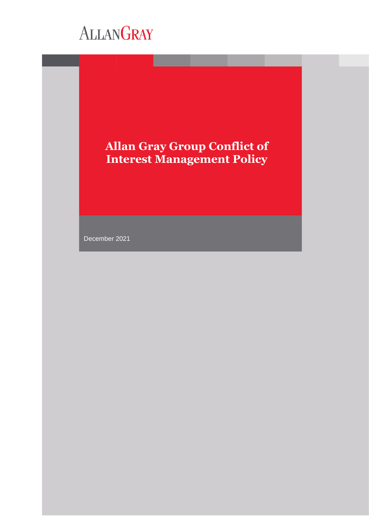# **Allan Gray Group Conflict of Interest Management Policy**

December 2021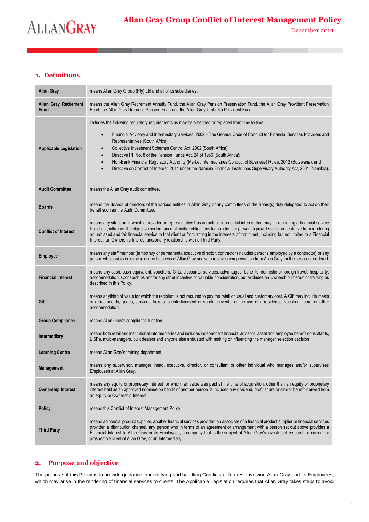# **1. Definitions**

| Allan Gray                    | means Allan Gray Group (Pty) Ltd and all of its subsidiaries.                                                                                                                                                                                                                                                                                                                                                                                                                                                                                                       |
|-------------------------------|---------------------------------------------------------------------------------------------------------------------------------------------------------------------------------------------------------------------------------------------------------------------------------------------------------------------------------------------------------------------------------------------------------------------------------------------------------------------------------------------------------------------------------------------------------------------|
| Allan Gray Retirement<br>Fund | means the Allan Gray Retirement Annuity Fund, the Allan Gray Pension Preservation Fund, the Allan Gray Provident Preservation<br>Fund, the Allan Gray Umbrella Pension Fund and the Allan Gray Umbrella Provident Fund.                                                                                                                                                                                                                                                                                                                                             |
| <b>Applicable Legislation</b> | includes the following regulatory requirements as may be amended or replaced from time to time:<br>Financial Advisory and Intermediary Services, 2002 – The General Code of Conduct for Financial Services Providers and<br>$\bullet$<br>Representatives (South Africa);<br>Collective Investment Schemes Control Act, 2002 (South Africa);<br>Directive PF No. 8 of the Pension Funds Act, 24 of 1956 (South Africa);<br>$\bullet$<br>Non-Bank Financial Regulatory Authority (Market Intermediaries Conduct of Business) Rules, 2012 (Botswana); and<br>$\bullet$ |
|                               | Directive on Conflict of Interest, 2014 under the Namibia Financial Institutions Supervisory Authority Act, 2001 (Namibia).                                                                                                                                                                                                                                                                                                                                                                                                                                         |
| <b>Audit Committee</b>        | means the Allan Gray audit committee.                                                                                                                                                                                                                                                                                                                                                                                                                                                                                                                               |
| <b>Boards</b>                 | means the Boards of directors of the various entities in Allan Gray or any committees of the Board(s) duly delegated to act on their<br>behalf such as the Audit Committee.                                                                                                                                                                                                                                                                                                                                                                                         |
| <b>Conflict of Interest</b>   | means any situation in which a provider or representative has an actual or potential interest that may, in rendering a financial service<br>to a client, influence the objective performance of his/her obligations to that client or prevent a provider or representative from rendering<br>an unbiased and fair financial service to that client or from acting in the interests of that client, including but not limited to a Financial<br>Interest, an Ownership Interest and/or any relationship with a Third Party.                                          |
| Employee                      | means any staff member (temporary or permanent), executive director, contractor (includes persons employed by a contractor) or any<br>person who assists in carrying on the business of Allan Gray and who receives compensation from Allan Gray for the services rendered.                                                                                                                                                                                                                                                                                         |
| <b>Financial Interest</b>     | means any cash, cash equivalent, vouchers, Gifts, discounts, services, advantages, benefits, domestic or foreign travel, hospitality,<br>accommodation, sponsorships and/or any other incentive or valuable consideration, but excludes an Ownership Interest or training as<br>described in this Policy.                                                                                                                                                                                                                                                           |
| Gift                          | means anything of value for which the recipient is not required to pay the retail or usual and customary cost. A Gift may include meals<br>or refreshments, goods, services, tickets to entertainment or sporting events, or the use of a residence, vacation home, or other<br>accommodation.                                                                                                                                                                                                                                                                      |
| <b>Group Compliance</b>       | means Allan Gray's compliance function.                                                                                                                                                                                                                                                                                                                                                                                                                                                                                                                             |
| Intermediary                  | means both retail and institutional Intermediaries and includes independent financial advisors, asset and employee benefit consultants,<br>LISPs, multi-managers, bulk dealers and anyone else entrusted with making or influencing the manager selection decision.                                                                                                                                                                                                                                                                                                 |
| <b>Learning Centre</b>        | means Allan Gray's training department.                                                                                                                                                                                                                                                                                                                                                                                                                                                                                                                             |
| Management                    | means any supervisor, manager, head, executive, director, or consultant or other individual who manages and/or supervises<br>Employees at Allan Gray.                                                                                                                                                                                                                                                                                                                                                                                                               |
| <b>Ownership Interest</b>     | means any equity or proprietary interest for which fair value was paid at the time of acquisition, other than an equity or proprietary<br>interest held as an approved nominee on behalf of another person. It includes any dividend, profit share or similar benefit derived from<br>an equity or Ownership Interest.                                                                                                                                                                                                                                              |
| <b>Policy</b>                 | means this Conflict of Interest Management Policy.                                                                                                                                                                                                                                                                                                                                                                                                                                                                                                                  |
| <b>Third Party</b>            | means a financial product supplier, another financial services provider, an associate of a financial product supplier or financial services<br>provider, a distribution channel, any person who in terms of an agreement or arrangement with a person set out above provides a<br>Financial Interest to Allan Gray or its Employees, a company that is the subject of Allan Gray's investment research, a current or<br>prospective client of Allan Gray, or an Intermediary.                                                                                       |

# **2. Purpose and objective**

The purpose of this Policy is to provide guidance in identifying and handling Conflicts of Interest involving Allan Gray and its Employees, which may arise in the rendering of financial services to clients. The Applicable Legislation requires that Allan Gray takes steps to avoid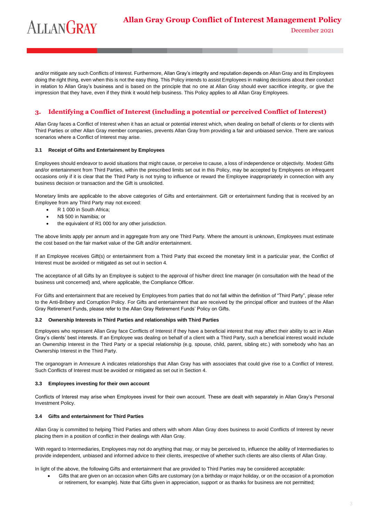December 2021

and/or mitigate any such Conflicts of Interest. Furthermore, Allan Gray's integrity and reputation depends on Allan Gray and its Employees doing the right thing, even when this is not the easy thing. This Policy intends to assist Employees in making decisions about their conduct in relation to Allan Gray's business and is based on the principle that no one at Allan Gray should ever sacrifice integrity, or give the impression that they have, even if they think it would help business. This Policy applies to all Allan Gray Employees.

# **3. Identifying a Conflict of Interest (including a potential or perceived Conflict of Interest)**

Allan Gray faces a Conflict of Interest when it has an actual or potential interest which, when dealing on behalf of clients or for clients with Third Parties or other Allan Gray member companies, prevents Allan Gray from providing a fair and unbiased service. There are various scenarios where a Conflict of Interest may arise.

#### **3.1 Receipt of Gifts and Entertainment by Employees**

Employees should endeavor to avoid situations that might cause, or perceive to cause, a loss of independence or objectivity. Modest Gifts and/or entertainment from Third Parties, within the prescribed limits set out in this Policy, may be accepted by Employees on infrequent occasions only if it is clear that the Third Party is not trying to influence or reward the Employee inappropriately in connection with any business decision or transaction and the Gift is unsolicited.

Monetary limits are applicable to the above categories of Gifts and entertainment. Gift or entertainment funding that is received by an Employee from any Third Party may not exceed:

- R 1 000 in South Africa;
- N\$ 500 in Namibia; or
- the equivalent of R1 000 for any other jurisdiction.

The above limits apply per annum and in aggregate from any one Third Party. Where the amount is unknown, Employees must estimate the cost based on the fair market value of the Gift and/or entertainment.

If an Employee receives Gift(s) or entertainment from a Third Party that exceed the monetary limit in a particular year, the Conflict of Interest must be avoided or mitigated as set out in section 4.

The acceptance of all Gifts by an Employee is subject to the approval of his/her direct line manager (in consultation with the head of the business unit concerned) and, where applicable, the Compliance Officer.

For Gifts and entertainment that are received by Employees from parties that do not fall within the definition of "Third Party", please refer to the Anti-Bribery and Corruption Policy. For Gifts and entertainment that are received by the principal officer and trustees of the Allan Gray Retirement Funds, please refer to the Allan Gray Retirement Funds' Policy on Gifts.

#### **3.2 Ownership Interests in Third Parties and relationships with Third Parties**

Employees who represent Allan Gray face Conflicts of Interest if they have a beneficial interest that may affect their ability to act in Allan Gray's clients' best interests. If an Employee was dealing on behalf of a client with a Third Party, such a beneficial interest would include an Ownership Interest in the Third Party or a special relationship (e.g. spouse, child, parent, sibling etc.) with somebody who has an Ownership Interest in the Third Party.

The organogram in Annexure A indicates relationships that Allan Gray has with associates that could give rise to a Conflict of Interest. Such Conflicts of Interest must be avoided or mitigated as set out in Section 4.

#### **3.3 Employees investing for their own account**

Conflicts of Interest may arise when Employees invest for their own account. These are dealt with separately in Allan Gray's Personal Investment Policy.

#### **3.4 Gifts and entertainment for Third Parties**

Allan Gray is committed to helping Third Parties and others with whom Allan Gray does business to avoid Conflicts of Interest by never placing them in a position of conflict in their dealings with Allan Gray.

With regard to Intermediaries, Employees may not do anything that may, or may be perceived to, influence the ability of Intermediaries to provide independent, unbiased and informed advice to their clients, irrespective of whether such clients are also clients of Allan Gray.

In light of the above, the following Gifts and entertainment that are provided to Third Parties may be considered acceptable:

• Gifts that are given on an occasion when Gifts are customary (on a birthday or major holiday, or on the occasion of a promotion or retirement, for example). Note that Gifts given in appreciation, support or as thanks for business are not permitted;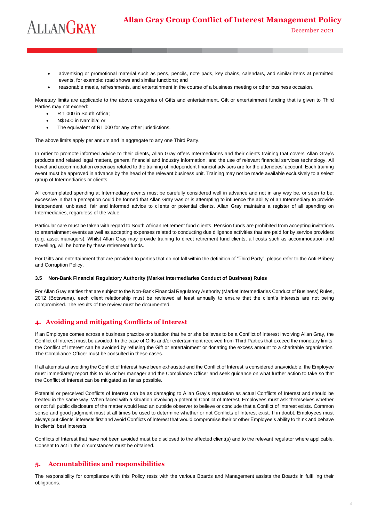December 2021

- advertising or promotional material such as pens, pencils, note pads, key chains, calendars, and similar items at permitted events, for example: road shows and similar functions; and
- reasonable meals, refreshments, and entertainment in the course of a business meeting or other business occasion.

Monetary limits are applicable to the above categories of Gifts and entertainment. Gift or entertainment funding that is given to Third Parties may not exceed:

- R 1 000 in South Africa;
- N\$ 500 in Namibia; or
- The equivalent of R1 000 for any other jurisdictions.

The above limits apply per annum and in aggregate to any one Third Party.

In order to promote informed advice to their clients, Allan Gray offers Intermediaries and their clients training that covers Allan Gray's products and related legal matters, general financial and industry information, and the use of relevant financial services technology. All travel and accommodation expenses related to the training of independent financial advisers are for the attendees' account. Each training event must be approved in advance by the head of the relevant business unit. Training may not be made available exclusively to a select group of Intermediaries or clients.

All contemplated spending at Intermediary events must be carefully considered well in advance and not in any way be, or seen to be, excessive in that a perception could be formed that Allan Gray was or is attempting to influence the ability of an Intermediary to provide independent, unbiased, fair and informed advice to clients or potential clients. Allan Gray maintains a register of all spending on Intermediaries, regardless of the value.

Particular care must be taken with regard to South African retirement fund clients. Pension funds are prohibited from accepting invitations to entertainment events as well as accepting expenses related to conducting due diligence activities that are paid for by service providers (e.g. asset managers). Whilst Allan Gray may provide training to direct retirement fund clients, all costs such as accommodation and travelling, will be borne by these retirement funds.

For Gifts and entertainment that are provided to parties that do not fall within the definition of "Third Party", please refer to the Anti-Bribery and Corruption Policy.

#### **3.5 Non-Bank Financial Regulatory Authority (Market Intermediaries Conduct of Business) Rules**

For Allan Gray entities that are subject to the Non-Bank Financial Regulatory Authority (Market Intermediaries Conduct of Business) Rules, 2012 (Botswana), each client relationship must be reviewed at least annually to ensure that the client's interests are not being compromised. The results of the review must be documented.

# **4. Avoiding and mitigating Conflicts of Interest**

If an Employee comes across a business practice or situation that he or she believes to be a Conflict of Interest involving Allan Gray, the Conflict of Interest must be avoided. In the case of Gifts and/or entertainment received from Third Parties that exceed the monetary limits, the Conflict of Interest can be avoided by refusing the Gift or entertainment or donating the excess amount to a charitable organisation. The Compliance Officer must be consulted in these cases.

If all attempts at avoiding the Conflict of Interest have been exhausted and the Conflict of Interest is considered unavoidable, the Employee must immediately report this to his or her manager and the Compliance Officer and seek guidance on what further action to take so that the Conflict of Interest can be mitigated as far as possible.

Potential or perceived Conflicts of Interest can be as damaging to Allan Gray's reputation as actual Conflicts of Interest and should be treated in the same way. When faced with a situation involving a potential Conflict of Interest, Employees must ask themselves whether or not full public disclosure of the matter would lead an outside observer to believe or conclude that a Conflict of Interest exists. Common sense and good judgment must at all times be used to determine whether or not Conflicts of Interest exist. If in doubt, Employees must always put clients' interests first and avoid Conflicts of Interest that would compromise their or other Employee's ability to think and behave in clients' best interests.

Conflicts of Interest that have not been avoided must be disclosed to the affected client(s) and to the relevant regulator where applicable. Consent to act in the circumstances must be obtained.

### **5. Accountabilities and responsibilities**

The responsibility for compliance with this Policy rests with the various Boards and Management assists the Boards in fulfilling their obligations.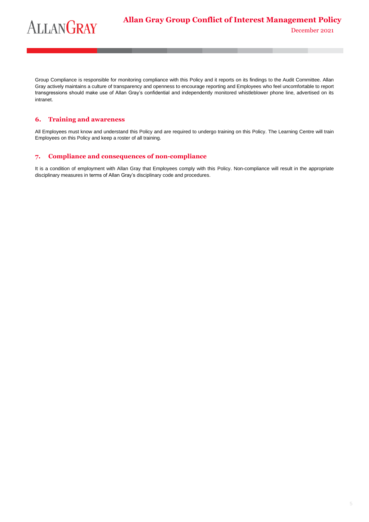Group Compliance is responsible for monitoring compliance with this Policy and it reports on its findings to the Audit Committee. Allan Gray actively maintains a culture of transparency and openness to encourage reporting and Employees who feel uncomfortable to report transgressions should make use of Allan Gray's confidential and independently monitored whistleblower phone line, advertised on its intranet.

## **6. Training and awareness**

All Employees must know and understand this Policy and are required to undergo training on this Policy. The Learning Centre will train Employees on this Policy and keep a roster of all training.

### **7. Compliance and consequences of non-compliance**

It is a condition of employment with Allan Gray that Employees comply with this Policy. Non-compliance will result in the appropriate disciplinary measures in terms of Allan Gray's disciplinary code and procedures.